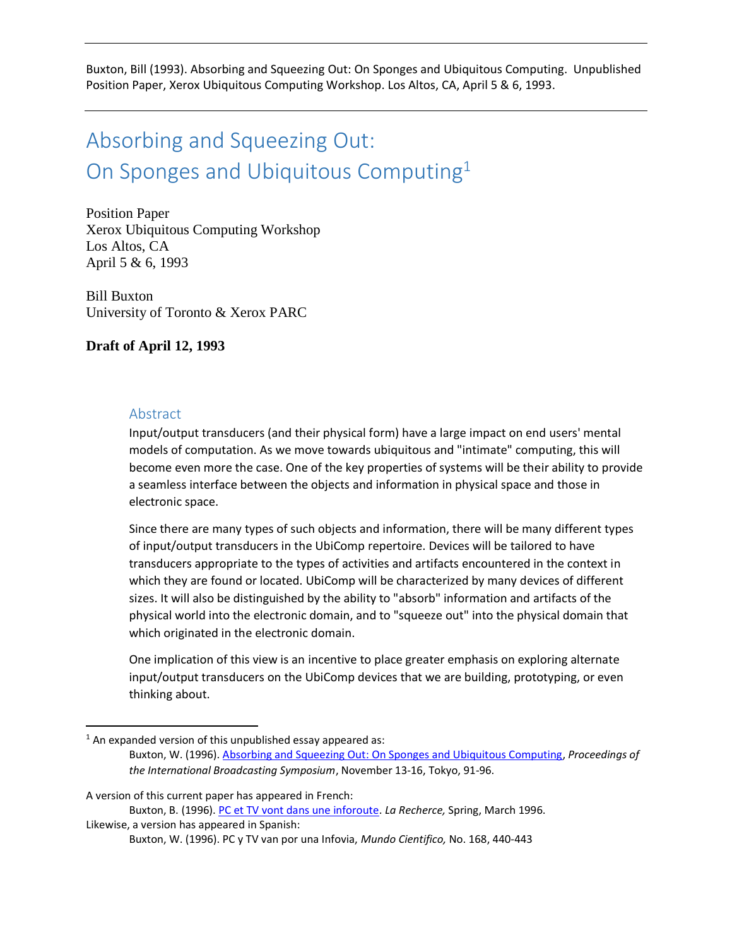Buxton, Bill (1993). Absorbing and Squeezing Out: On Sponges and Ubiquitous Computing. Unpublished Position Paper, Xerox Ubiquitous Computing Workshop. Los Altos, CA, April 5 & 6, 1993.

# Absorbing and Squeezing Out: On Sponges and Ubiquitous Computing<sup>1</sup>

Position Paper Xerox Ubiquitous Computing Workshop Los Altos, CA April 5 & 6, 1993

Bill Buxton University of Toronto & Xerox PARC

### **Draft of April 12, 1993**

#### Abstract

 $\overline{a}$ 

Input/output transducers (and their physical form) have a large impact on end users' mental models of computation. As we move towards ubiquitous and "intimate" computing, this will become even more the case. One of the key properties of systems will be their ability to provide a seamless interface between the objects and information in physical space and those in electronic space.

Since there are many types of such objects and information, there will be many different types of input/output transducers in the UbiComp repertoire. Devices will be tailored to have transducers appropriate to the types of activities and artifacts encountered in the context in which they are found or located. UbiComp will be characterized by many devices of different sizes. It will also be distinguished by the ability to "absorb" information and artifacts of the physical world into the electronic domain, and to "squeeze out" into the physical domain that which originated in the electronic domain.

One implication of this view is an incentive to place greater emphasis on exploring alternate input/output transducers on the UbiComp devices that we are building, prototyping, or even thinking about.

A version of this current paper has appeared in French:

 $1$  An expanded version of this unpublished essay appeared as:

Buxton, W. (1996). [Absorbing and Squeezing Out: On Sponges and Ubiquitous Computing,](http://billbuxton.com/sponges1996.pdf) *Proceedings of the International Broadcasting Symposium*, November 13-16, Tokyo, 91-96.

Buxton, B. (1996). [PC et TV vont dans une inforoute.](http://www.larecherche.fr/savoirs/dossier/pc-tv-vont-inforoute-01-03-1996-87785) *La Recherce,* Spring, March 1996. Likewise, a version has appeared in Spanish:

Buxton, W. (1996). PC y TV van por una Infovia, *Mundo Cientifico,* No. 168, 440-443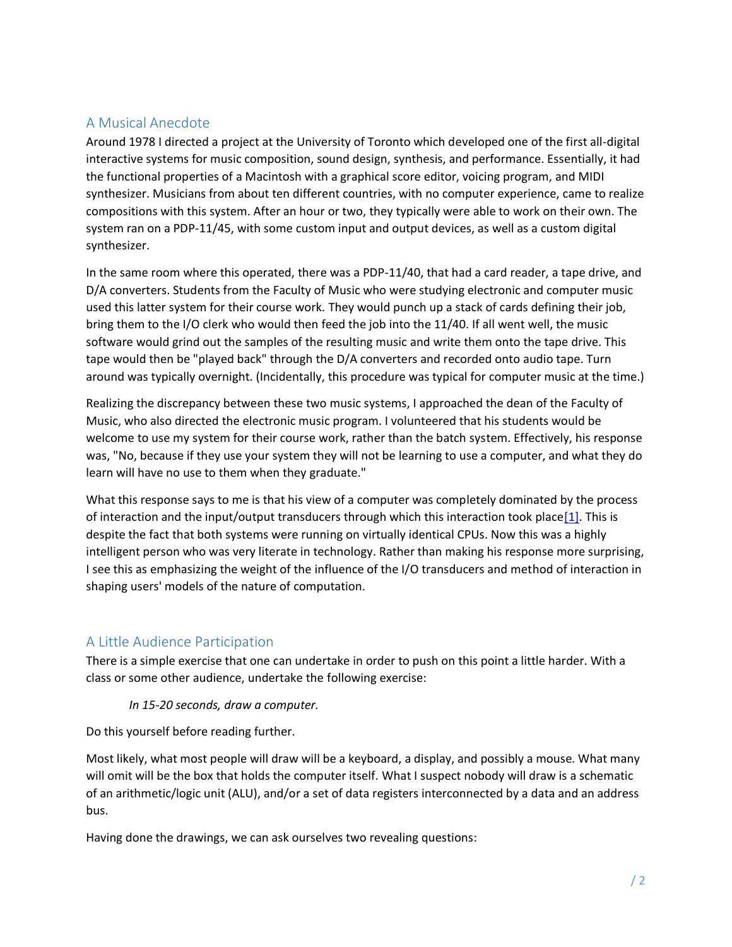# A Musical Anecdote

Around 1978 I directed a project at the University of Toronto which developed one of the first all-digital interactive systems for music composition, sound design, synthesis, and performance. Essentially, it had the functional properties of a Macintosh with a graphical score editor, voicing program, and MIDI synthesizer. Musicians from about ten different countries, with no computer experience, came to realize compositions with this system. After an hour or two, they typically were able to work on their own. The system ran on a PDP-11/45, with some custom input and output devices, as well as a custom digital synthesizer.

In the same room where this operated, there was a PDP-11/40, that had a card reader, a tape drive, and D/A converters. Students from the Faculty of Music who were studying electronic and computer music used this latter system for their course work. They would punch up a stack of cards defining their job, bring them to the I/O clerk who would then feed the job into the 11/40. If all went well, the music software would grind out the samples of the resulting music and write them onto the tape drive. This tape would then be "played back" through the D/A converters and recorded onto audio tape. Turn around was typically overnight. (Incidentally, this procedure was typical for computer music at the time.)

Realizing the discrepancy between these two music systems, I approached the dean of the Faculty of Music, who also directed the electronic music program. I volunteered that his students would be welcome to use my system for their course work, rather than the batch system. Effectively, his response was, "No, because if they use your system they will not be learning to use a computer, and what they do learn will have no use to them when they graduate."

What this response says to me is that his view of a computer was completely dominated by the process of interaction and the input/output transducers through which this interaction took plac[e\[1\].](http://www.dgp.toronto.edu/OTP/papers/bill.buxton/ubicompIO.html#fn0) This is despite the fact that both systems were running on virtually identical CPUs. Now this was a highly intelligent person who was very literate in technology. Rather than making his response more surprising, I see this as emphasizing the weight of the influence of the I/O transducers and method of interaction in shaping users' models of the nature of computation.

# A Little Audience Participation

There is a simple exercise that one can undertake in order to push on this point a little harder. With a class or some other audience, undertake the following exercise:

#### *In 15-20 seconds, draw a computer.*

Do this yourself before reading further.

Most likely, what most people will draw will be a keyboard, a display, and possibly a mouse. What many will omit will be the box that holds the computer itself. What I suspect nobody will draw is a schematic of an arithmetic/logic unit (ALU), and/or a set of data registers interconnected by a data and an address bus.

Having done the drawings, we can ask ourselves two revealing questions: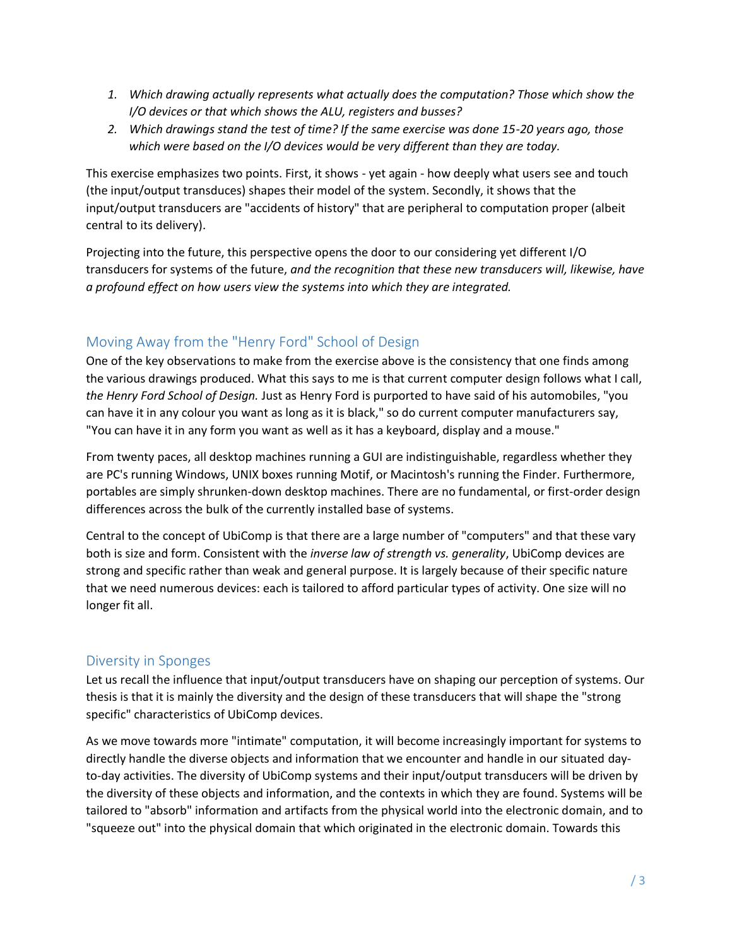- *1. Which drawing actually represents what actually does the computation? Those which show the I/O devices or that which shows the ALU, registers and busses?*
- *2. Which drawings stand the test of time? If the same exercise was done 15-20 years ago, those which were based on the I/O devices would be very different than they are today.*

This exercise emphasizes two points. First, it shows - yet again - how deeply what users see and touch (the input/output transduces) shapes their model of the system. Secondly, it shows that the input/output transducers are "accidents of history" that are peripheral to computation proper (albeit central to its delivery).

Projecting into the future, this perspective opens the door to our considering yet different I/O transducers for systems of the future, *and the recognition that these new transducers will, likewise, have a profound effect on how users view the systems into which they are integrated.*

# Moving Away from the "Henry Ford" School of Design

One of the key observations to make from the exercise above is the consistency that one finds among the various drawings produced. What this says to me is that current computer design follows what I call, *the Henry Ford School of Design.* Just as Henry Ford is purported to have said of his automobiles, "you can have it in any colour you want as long as it is black," so do current computer manufacturers say, "You can have it in any form you want as well as it has a keyboard, display and a mouse."

From twenty paces, all desktop machines running a GUI are indistinguishable, regardless whether they are PC's running Windows, UNIX boxes running Motif, or Macintosh's running the Finder. Furthermore, portables are simply shrunken-down desktop machines. There are no fundamental, or first-order design differences across the bulk of the currently installed base of systems.

Central to the concept of UbiComp is that there are a large number of "computers" and that these vary both is size and form. Consistent with the *inverse law of strength vs. generality*, UbiComp devices are strong and specific rather than weak and general purpose. It is largely because of their specific nature that we need numerous devices: each is tailored to afford particular types of activity. One size will no longer fit all.

# Diversity in Sponges

Let us recall the influence that input/output transducers have on shaping our perception of systems. Our thesis is that it is mainly the diversity and the design of these transducers that will shape the "strong specific" characteristics of UbiComp devices.

As we move towards more "intimate" computation, it will become increasingly important for systems to directly handle the diverse objects and information that we encounter and handle in our situated dayto-day activities. The diversity of UbiComp systems and their input/output transducers will be driven by the diversity of these objects and information, and the contexts in which they are found. Systems will be tailored to "absorb" information and artifacts from the physical world into the electronic domain, and to "squeeze out" into the physical domain that which originated in the electronic domain. Towards this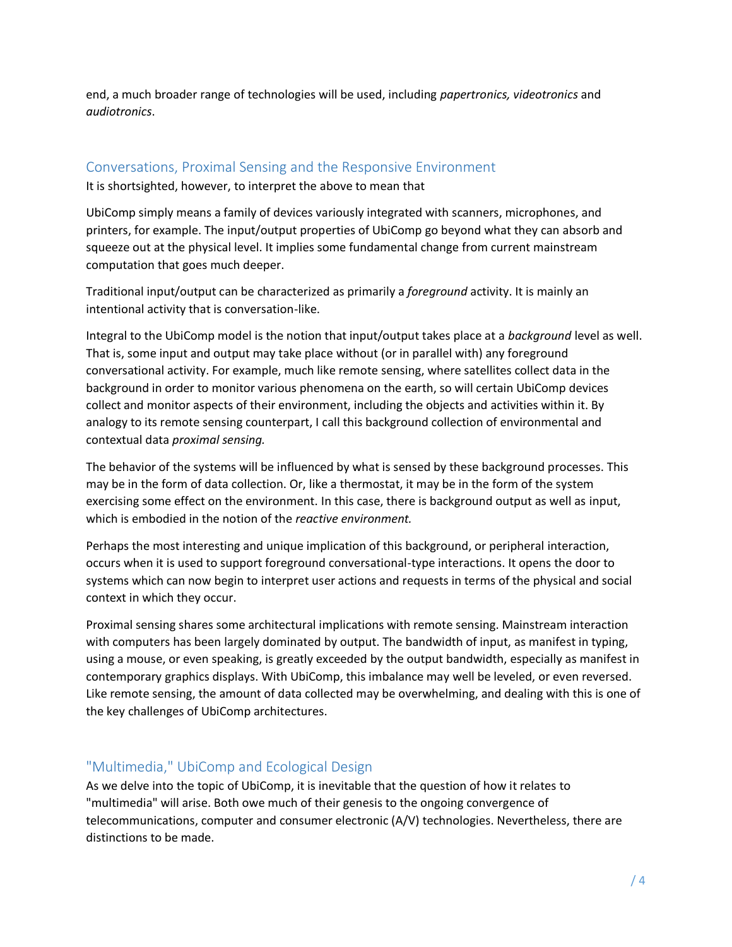end, a much broader range of technologies will be used, including *papertronics, videotronics* and *audiotronics*.

#### Conversations, Proximal Sensing and the Responsive Environment

It is shortsighted, however, to interpret the above to mean that

UbiComp simply means a family of devices variously integrated with scanners, microphones, and printers, for example. The input/output properties of UbiComp go beyond what they can absorb and squeeze out at the physical level. It implies some fundamental change from current mainstream computation that goes much deeper.

Traditional input/output can be characterized as primarily a *foreground* activity. It is mainly an intentional activity that is conversation-like.

Integral to the UbiComp model is the notion that input/output takes place at a *background* level as well. That is, some input and output may take place without (or in parallel with) any foreground conversational activity. For example, much like remote sensing, where satellites collect data in the background in order to monitor various phenomena on the earth, so will certain UbiComp devices collect and monitor aspects of their environment, including the objects and activities within it. By analogy to its remote sensing counterpart, I call this background collection of environmental and contextual data *proximal sensing.*

The behavior of the systems will be influenced by what is sensed by these background processes. This may be in the form of data collection. Or, like a thermostat, it may be in the form of the system exercising some effect on the environment. In this case, there is background output as well as input, which is embodied in the notion of the *reactive environment.* 

Perhaps the most interesting and unique implication of this background, or peripheral interaction, occurs when it is used to support foreground conversational-type interactions. It opens the door to systems which can now begin to interpret user actions and requests in terms of the physical and social context in which they occur.

Proximal sensing shares some architectural implications with remote sensing. Mainstream interaction with computers has been largely dominated by output. The bandwidth of input, as manifest in typing, using a mouse, or even speaking, is greatly exceeded by the output bandwidth, especially as manifest in contemporary graphics displays. With UbiComp, this imbalance may well be leveled, or even reversed. Like remote sensing, the amount of data collected may be overwhelming, and dealing with this is one of the key challenges of UbiComp architectures.

# "Multimedia," UbiComp and Ecological Design

As we delve into the topic of UbiComp, it is inevitable that the question of how it relates to "multimedia" will arise. Both owe much of their genesis to the ongoing convergence of telecommunications, computer and consumer electronic (A/V) technologies. Nevertheless, there are distinctions to be made.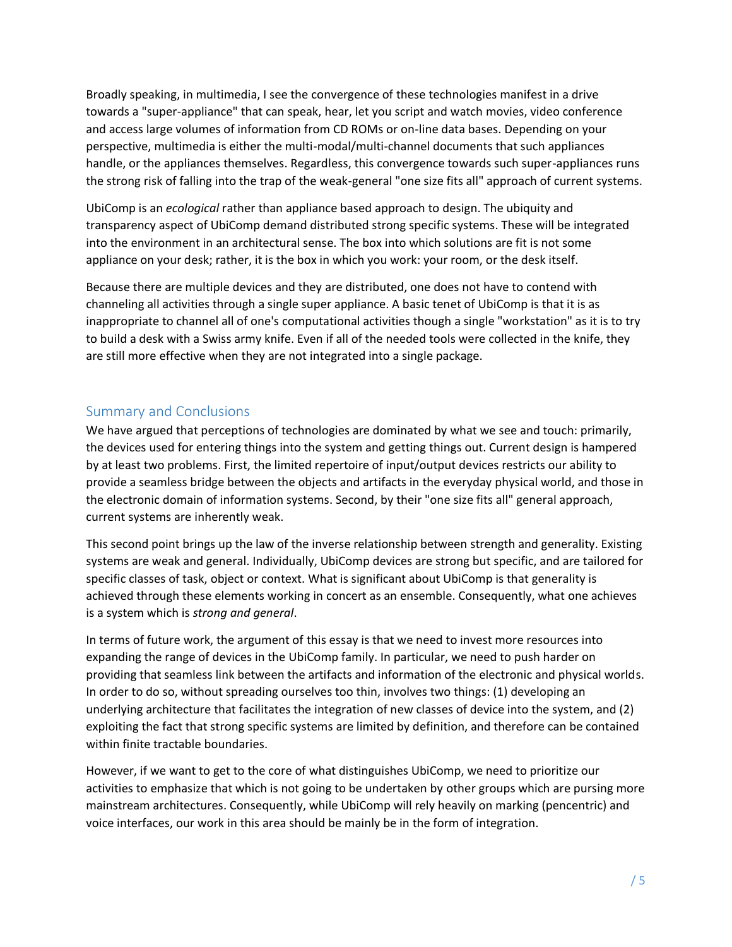Broadly speaking, in multimedia, I see the convergence of these technologies manifest in a drive towards a "super-appliance" that can speak, hear, let you script and watch movies, video conference and access large volumes of information from CD ROMs or on-line data bases. Depending on your perspective, multimedia is either the multi-modal/multi-channel documents that such appliances handle, or the appliances themselves. Regardless, this convergence towards such super-appliances runs the strong risk of falling into the trap of the weak-general "one size fits all" approach of current systems.

UbiComp is an *ecological* rather than appliance based approach to design. The ubiquity and transparency aspect of UbiComp demand distributed strong specific systems. These will be integrated into the environment in an architectural sense. The box into which solutions are fit is not some appliance on your desk; rather, it is the box in which you work: your room, or the desk itself.

Because there are multiple devices and they are distributed, one does not have to contend with channeling all activities through a single super appliance. A basic tenet of UbiComp is that it is as inappropriate to channel all of one's computational activities though a single "workstation" as it is to try to build a desk with a Swiss army knife. Even if all of the needed tools were collected in the knife, they are still more effective when they are not integrated into a single package.

# Summary and Conclusions

We have argued that perceptions of technologies are dominated by what we see and touch: primarily, the devices used for entering things into the system and getting things out. Current design is hampered by at least two problems. First, the limited repertoire of input/output devices restricts our ability to provide a seamless bridge between the objects and artifacts in the everyday physical world, and those in the electronic domain of information systems. Second, by their "one size fits all" general approach, current systems are inherently weak.

This second point brings up the law of the inverse relationship between strength and generality. Existing systems are weak and general. Individually, UbiComp devices are strong but specific, and are tailored for specific classes of task, object or context. What is significant about UbiComp is that generality is achieved through these elements working in concert as an ensemble. Consequently, what one achieves is a system which is *strong and general*.

In terms of future work, the argument of this essay is that we need to invest more resources into expanding the range of devices in the UbiComp family. In particular, we need to push harder on providing that seamless link between the artifacts and information of the electronic and physical worlds. In order to do so, without spreading ourselves too thin, involves two things: (1) developing an underlying architecture that facilitates the integration of new classes of device into the system, and (2) exploiting the fact that strong specific systems are limited by definition, and therefore can be contained within finite tractable boundaries.

However, if we want to get to the core of what distinguishes UbiComp, we need to prioritize our activities to emphasize that which is not going to be undertaken by other groups which are pursing more mainstream architectures. Consequently, while UbiComp will rely heavily on marking (pencentric) and voice interfaces, our work in this area should be mainly be in the form of integration.